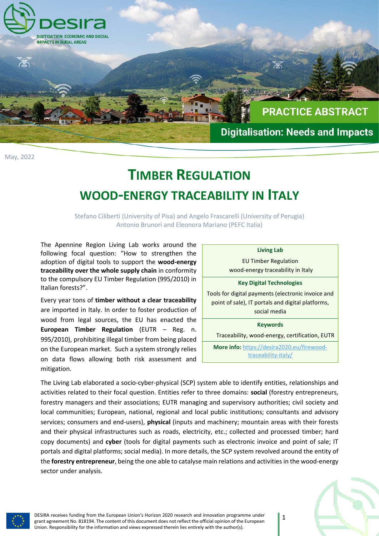

May, 2022

## **TIMBER REGULATION WOOD-ENERGY TRACEABILITY IN ITALY**

Stefano Ciliberti (University of Pisa) and Angelo Frascarelli (University of Perugia) Antonio Brunori and Eleonora Mariano (PEFC Italia)

The Apennine Region Living Lab works around the following focal question: "How to strengthen the adoption of digital tools to support the **wood-energy traceability over the whole supply chain** in conformity to the compulsory EU Timber Regulation (995/2010) in Italian forests?".

Every year tons of **timber without a clear traceability** are imported in Italy. In order to foster production of wood from legal sources, the EU has enacted the **European Timber Regulation** (EUTR – Reg. n. 995/2010), prohibiting illegal timber from being placed on the European market. Such a system strongly relies on data flows allowing both risk assessment and mitigation.

| <b>Living Lab</b>                                                                                       |
|---------------------------------------------------------------------------------------------------------|
| <b>EU Timber Regulation</b>                                                                             |
| wood-energy traceability in Italy                                                                       |
| <b>Key Digital Technologies</b>                                                                         |
| Tools for digital payments (electronic invoice and<br>point of sale), IT portals and digital platforms, |
| social media                                                                                            |
| <b>Keywords</b>                                                                                         |
| Traceability, wood-energy, certification, EUTR                                                          |
| <b>More info:</b> https://desira2020.eu/firewood-                                                       |
| traceability-italy/                                                                                     |

The Living Lab elaborated a socio-cyber-physical (SCP) system able to identify entities, relationships and activities related to their focal question. Entities refer to three domains: **social** (forestry entrepreneurs, forestry managers and their associations; EUTR managing and supervisory authorities; civil society and local communities; European, national, regional and local public institutions; consultants and advisory services; consumers and end-users), **physical** (inputs and machinery; mountain areas with their forests and their physical infrastructures such as roads, electricity, etc.; collected and processed timber; hard copy documents) and **cyber** (tools for digital payments such as electronic invoice and point of sale; IT portals and digital platforms; social media). In more details, the SCP system revolved around the entity of the **forestry entrepreneur**, being the one able to catalyse main relations and activitiesin the wood-energy sector under analysis.